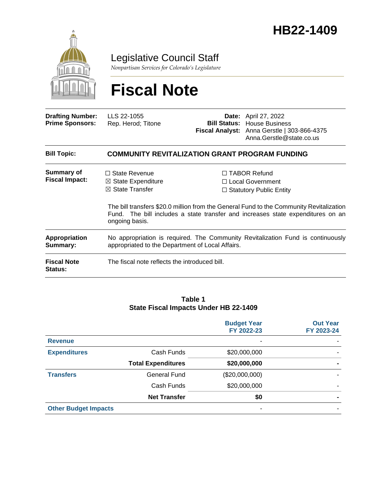

Legislative Council Staff

*Nonpartisan Services for Colorado's Legislature*

# **Fiscal Note**

| <b>Drafting Number:</b><br><b>Prime Sponsors:</b> | LLS 22-1055<br>Rep. Herod; Titone                                                                                                   |  | <b>Date:</b> April 27, 2022<br><b>Bill Status: House Business</b><br>Fiscal Analyst: Anna Gerstle   303-866-4375<br>Anna.Gerstle@state.co.us                                                                                                              |  |
|---------------------------------------------------|-------------------------------------------------------------------------------------------------------------------------------------|--|-----------------------------------------------------------------------------------------------------------------------------------------------------------------------------------------------------------------------------------------------------------|--|
| <b>Bill Topic:</b>                                | <b>COMMUNITY REVITALIZATION GRANT PROGRAM FUNDING</b>                                                                               |  |                                                                                                                                                                                                                                                           |  |
| Summary of<br><b>Fiscal Impact:</b>               | $\Box$ State Revenue<br>$\boxtimes$ State Expenditure<br>$\boxtimes$ State Transfer<br>ongoing basis.                               |  | $\Box$ TABOR Refund<br>□ Local Government<br>$\Box$ Statutory Public Entity<br>The bill transfers \$20.0 million from the General Fund to the Community Revitalization<br>Fund. The bill includes a state transfer and increases state expenditures on an |  |
| Appropriation<br>Summary:                         | No appropriation is required. The Community Revitalization Fund is continuously<br>appropriated to the Department of Local Affairs. |  |                                                                                                                                                                                                                                                           |  |
| <b>Fiscal Note</b><br><b>Status:</b>              | The fiscal note reflects the introduced bill.                                                                                       |  |                                                                                                                                                                                                                                                           |  |

#### **Table 1 State Fiscal Impacts Under HB 22-1409**

|                             |                           | <b>Budget Year</b><br>FY 2022-23 | <b>Out Year</b><br>FY 2023-24 |
|-----------------------------|---------------------------|----------------------------------|-------------------------------|
| <b>Revenue</b>              |                           | $\overline{\phantom{a}}$         |                               |
| <b>Expenditures</b>         | Cash Funds                | \$20,000,000                     |                               |
|                             | <b>Total Expenditures</b> | \$20,000,000                     |                               |
| <b>Transfers</b>            | <b>General Fund</b>       | (\$20,000,000)                   |                               |
|                             | Cash Funds                | \$20,000,000                     |                               |
|                             | <b>Net Transfer</b>       | \$0                              |                               |
| <b>Other Budget Impacts</b> |                           | ٠                                |                               |